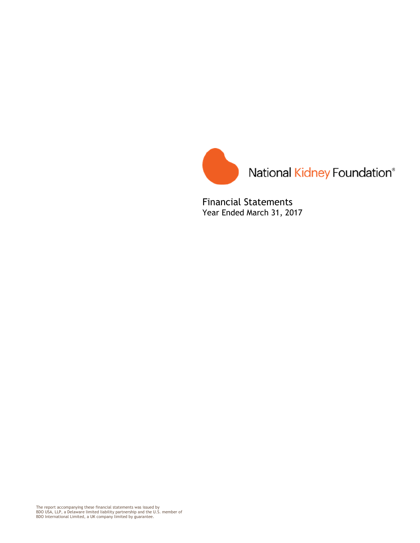

Financial Statements Year Ended March 31, 2017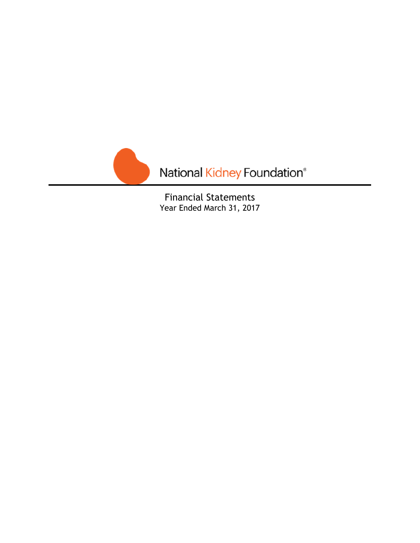

Financial Statements Year Ended March 31, 2017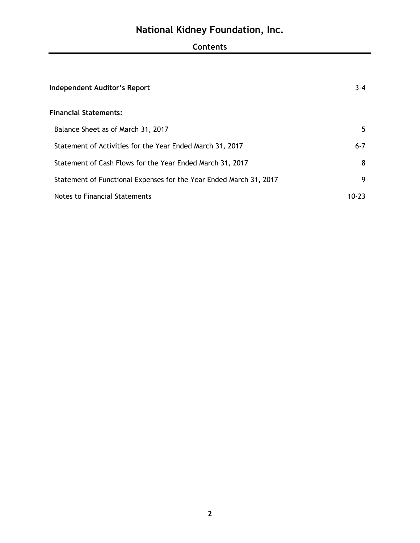## **Contents**

| <b>Independent Auditor's Report</b>                                | $3 - 4$   |
|--------------------------------------------------------------------|-----------|
| <b>Financial Statements:</b>                                       |           |
| Balance Sheet as of March 31, 2017                                 | 5.        |
| Statement of Activities for the Year Ended March 31, 2017          | $6 - 7$   |
| Statement of Cash Flows for the Year Ended March 31, 2017          | 8         |
| Statement of Functional Expenses for the Year Ended March 31, 2017 | 9         |
| Notes to Financial Statements                                      | $10 - 23$ |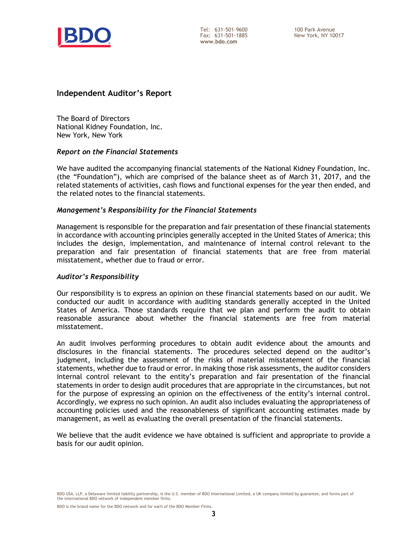

Tel: 631-501-9600 Fax: 631-501-1885 **www.bdo.com**

### **Independent Auditor's Report**

The Board of Directors National Kidney Foundation, Inc. New York, New York

#### *Report on the Financial Statements*

We have audited the accompanying financial statements of the National Kidney Foundation, Inc. (the "Foundation"), which are comprised of the balance sheet as of March 31, 2017, and the related statements of activities, cash flows and functional expenses for the year then ended, and the related notes to the financial statements.

#### *Management's Responsibility for the Financial Statements*

Management is responsible for the preparation and fair presentation of these financial statements in accordance with accounting principles generally accepted in the United States of America; this includes the design, implementation, and maintenance of internal control relevant to the preparation and fair presentation of financial statements that are free from material misstatement, whether due to fraud or error.

#### *Auditor's Responsibility*

Our responsibility is to express an opinion on these financial statements based on our audit. We conducted our audit in accordance with auditing standards generally accepted in the United States of America. Those standards require that we plan and perform the audit to obtain reasonable assurance about whether the financial statements are free from material misstatement.

An audit involves performing procedures to obtain audit evidence about the amounts and disclosures in the financial statements. The procedures selected depend on the auditor's judgment, including the assessment of the risks of material misstatement of the financial statements, whether due to fraud or error. In making those risk assessments, the auditor considers internal control relevant to the entity's preparation and fair presentation of the financial statements in order to design audit procedures that are appropriate in the circumstances, but not for the purpose of expressing an opinion on the effectiveness of the entity's internal control. Accordingly, we express no such opinion. An audit also includes evaluating the appropriateness of accounting policies used and the reasonableness of significant accounting estimates made by management, as well as evaluating the overall presentation of the financial statements.

We believe that the audit evidence we have obtained is sufficient and appropriate to provide a basis for our audit opinion.

BDO USA, LLP, a Delaware limited liability partnership, is the U.S. member of BDO International Limited, a UK company limited by guarantee, and forms part of the international BDO network of independent member firms.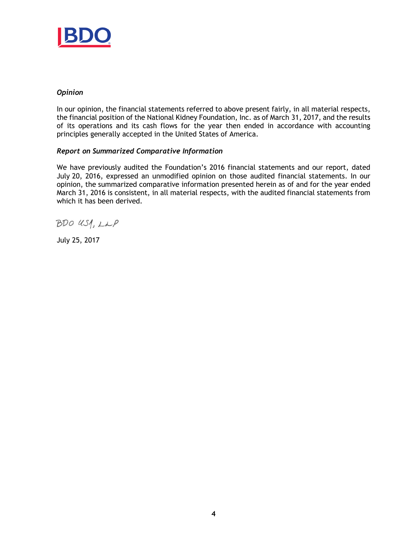

#### *Opinion*

In our opinion, the financial statements referred to above present fairly, in all material respects, the financial position of the National Kidney Foundation, Inc. as of March 31, 2017, and the results of its operations and its cash flows for the year then ended in accordance with accounting principles generally accepted in the United States of America.

#### *Report on Summarized Comparative Information*

We have previously audited the Foundation's 2016 financial statements and our report, dated July 20, 2016, expressed an unmodified opinion on those audited financial statements. In our opinion, the summarized comparative information presented herein as of and for the year ended March 31, 2016 is consistent, in all material respects, with the audited financial statements from which it has been derived.

BDO USA, LLP

July 25, 2017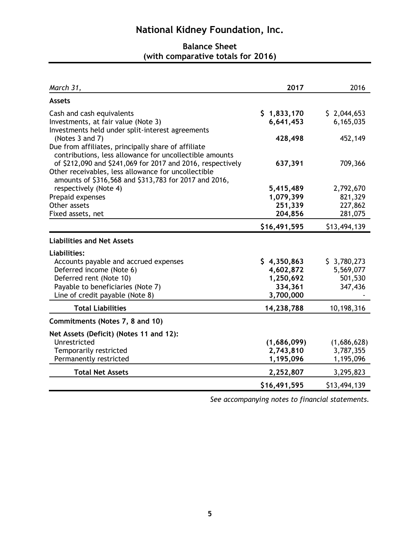## **Balance Sheet (with comparative totals for 2016)**

| March 31,                                                                                                                                                                  | 2017                     | 2016                     |
|----------------------------------------------------------------------------------------------------------------------------------------------------------------------------|--------------------------|--------------------------|
| <b>Assets</b>                                                                                                                                                              |                          |                          |
| Cash and cash equivalents<br>Investments, at fair value (Note 3)<br>Investments held under split-interest agreements                                                       | \$1,833,170<br>6,641,453 | \$2,044,653<br>6,165,035 |
| (Notes 3 and 7)<br>Due from affiliates, principally share of affiliate<br>contributions, less allowance for uncollectible amounts                                          | 428,498                  | 452,149                  |
| of \$212,090 and \$241,069 for 2017 and 2016, respectively<br>Other receivables, less allowance for uncollectible<br>amounts of \$316,568 and \$313,783 for 2017 and 2016, | 637,391                  | 709,366                  |
| respectively (Note 4)                                                                                                                                                      | 5,415,489                | 2,792,670                |
| Prepaid expenses                                                                                                                                                           | 1,079,399                | 821,329                  |
| Other assets                                                                                                                                                               | 251,339                  | 227,862                  |
| Fixed assets, net                                                                                                                                                          | 204,856                  | 281,075                  |
|                                                                                                                                                                            | \$16,491,595             | \$13,494,139             |
| <b>Liabilities and Net Assets</b>                                                                                                                                          |                          |                          |
| Liabilities:                                                                                                                                                               |                          |                          |
| Accounts payable and accrued expenses                                                                                                                                      | \$4,350,863              | \$3,780,273              |
| Deferred income (Note 6)                                                                                                                                                   | 4,602,872                | 5,569,077                |
| Deferred rent (Note 10)                                                                                                                                                    | 1,250,692                | 501,530                  |
| Payable to beneficiaries (Note 7)                                                                                                                                          | 334,361                  | 347,436                  |
| Line of credit payable (Note 8)                                                                                                                                            | 3,700,000                |                          |
| <b>Total Liabilities</b>                                                                                                                                                   | 14,238,788               | 10,198,316               |
| Commitments (Notes 7, 8 and 10)                                                                                                                                            |                          |                          |
| Net Assets (Deficit) (Notes 11 and 12):                                                                                                                                    |                          |                          |
| Unrestricted                                                                                                                                                               | (1,686,099)              | (1,686,628)              |
| Temporarily restricted                                                                                                                                                     | 2,743,810                | 3,787,355                |
| Permanently restricted                                                                                                                                                     | 1,195,096                | 1,195,096                |
| <b>Total Net Assets</b>                                                                                                                                                    | 2,252,807                | 3,295,823                |
|                                                                                                                                                                            | \$16,491,595             | \$13,494,139             |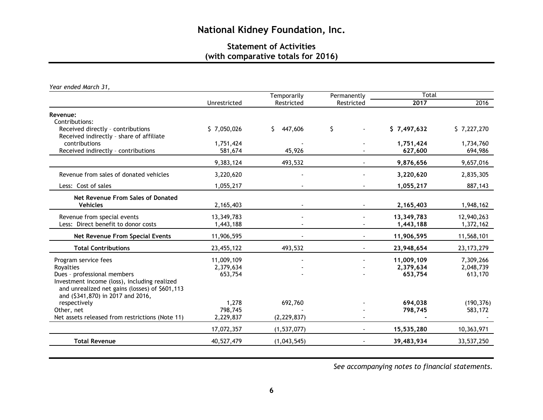## **Statement of Activities (with comparative totals for 2016)**

*Year ended March 31,*

|                                                                                     |              | Temporarily   | Permanently | Total       |              |
|-------------------------------------------------------------------------------------|--------------|---------------|-------------|-------------|--------------|
|                                                                                     | Unrestricted | Restricted    | Restricted  | 2017        | 2016         |
| Revenue:                                                                            |              |               |             |             |              |
| Contributions:                                                                      |              |               |             |             |              |
| Received directly - contributions                                                   | \$7,050,026  | S.<br>447,606 | \$          | \$7,497,632 | \$7,227,270  |
| Received indirectly - share of affiliate                                            |              |               |             |             |              |
| contributions                                                                       | 1,751,424    |               |             | 1,751,424   | 1,734,760    |
| Received indirectly - contributions                                                 | 581,674      | 45,926        |             | 627,600     | 694,986      |
|                                                                                     | 9,383,124    | 493,532       |             | 9,876,656   | 9,657,016    |
| Revenue from sales of donated vehicles                                              | 3,220,620    |               |             | 3,220,620   | 2,835,305    |
| Less: Cost of sales                                                                 | 1,055,217    |               |             | 1,055,217   | 887,143      |
| Net Revenue From Sales of Donated                                                   |              |               |             |             |              |
| <b>Vehicles</b>                                                                     | 2,165,403    |               |             | 2,165,403   | 1,948,162    |
| Revenue from special events                                                         | 13,349,783   |               |             | 13,349,783  | 12,940,263   |
| Less: Direct benefit to donor costs                                                 | 1,443,188    |               |             | 1,443,188   | 1,372,162    |
| Net Revenue From Special Events                                                     | 11,906,595   |               |             | 11,906,595  | 11,568,101   |
| <b>Total Contributions</b>                                                          | 23,455,122   | 493,532       |             | 23,948,654  | 23, 173, 279 |
| Program service fees                                                                | 11,009,109   |               |             | 11,009,109  | 7,309,266    |
| Royalties                                                                           | 2,379,634    |               |             | 2,379,634   | 2,048,739    |
| Dues - professional members                                                         | 653,754      |               |             | 653,754     | 613,170      |
| Investment income (loss), including realized                                        |              |               |             |             |              |
| and unrealized net gains (losses) of \$601,113<br>and (\$341,870) in 2017 and 2016, |              |               |             |             |              |
| respectively                                                                        | 1,278        | 692,760       |             | 694,038     | (190, 376)   |
| Other, net                                                                          | 798,745      |               |             | 798,745     | 583,172      |
| Net assets released from restrictions (Note 11)                                     | 2,229,837    | (2, 229, 837) |             |             |              |
|                                                                                     | 17,072,357   | (1, 537, 077) |             | 15,535,280  | 10,363,971   |
| <b>Total Revenue</b>                                                                | 40,527,479   | (1,043,545)   |             | 39,483,934  | 33,537,250   |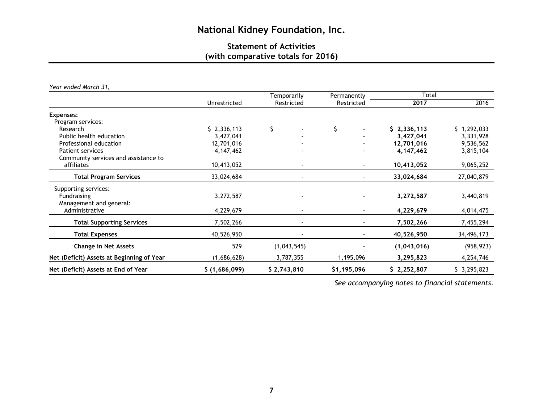## **Statement of Activities (with comparative totals for 2016)**

*Year ended March 31,* 

|                                           |                | Temporarily | Permanently    | Total       |             |
|-------------------------------------------|----------------|-------------|----------------|-------------|-------------|
|                                           | Unrestricted   | Restricted  | Restricted     | 2017        | 2016        |
| <b>Expenses:</b>                          |                |             |                |             |             |
| Program services:                         |                |             |                |             |             |
| Research                                  | \$2,336,113    | \$          | \$             | \$2,336,113 | \$1,292,033 |
| Public health education                   | 3,427,041      |             |                | 3,427,041   | 3,331,928   |
| Professional education                    | 12,701,016     |             |                | 12,701,016  | 9,536,562   |
| Patient services                          | 4, 147, 462    |             |                | 4, 147, 462 | 3,815,104   |
| Community services and assistance to      |                |             |                |             |             |
| affiliates                                | 10,413,052     |             | $\blacksquare$ | 10,413,052  | 9,065,252   |
| <b>Total Program Services</b>             | 33,024,684     |             |                | 33,024,684  | 27,040,879  |
| Supporting services:                      |                |             |                |             |             |
| <b>Fundraising</b>                        | 3,272,587      |             |                | 3,272,587   | 3,440,819   |
| Management and general:                   |                |             |                |             |             |
| Administrative                            | 4,229,679      |             |                | 4,229,679   | 4,014,475   |
| <b>Total Supporting Services</b>          | 7,502,266      |             |                | 7,502,266   | 7,455,294   |
| <b>Total Expenses</b>                     | 40,526,950     |             |                | 40,526,950  | 34,496,173  |
| <b>Change in Net Assets</b>               | 529            | (1,043,545) |                | (1,043,016) | (958, 923)  |
| Net (Deficit) Assets at Beginning of Year | (1,686,628)    | 3,787,355   | 1,195,096      | 3,295,823   | 4,254,746   |
| Net (Deficit) Assets at End of Year       | \$ (1,686,099) | \$2,743,810 | \$1,195,096    | \$2,252,807 | \$3,295,823 |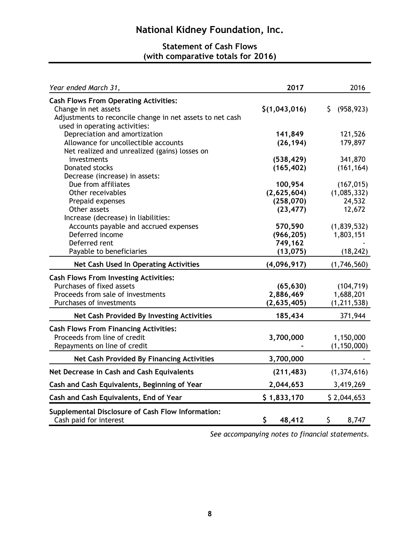## **Statement of Cash Flows (with comparative totals for 2016)**

| Year ended March 31,                                                                                                                       | 2017                                  | 2016                                     |
|--------------------------------------------------------------------------------------------------------------------------------------------|---------------------------------------|------------------------------------------|
| <b>Cash Flows From Operating Activities:</b><br>Change in net assets<br>Adjustments to reconcile change in net assets to net cash          | \$(1,043,016)                         | (958, 923)<br>\$.                        |
| used in operating activities:<br>Depreciation and amortization<br>Allowance for uncollectible accounts                                     | 141,849<br>(26, 194)                  | 121,526<br>179,897                       |
| Net realized and unrealized (gains) losses on<br>investments<br>Donated stocks                                                             | (538, 429)<br>(165, 402)              | 341,870<br>(161, 164)                    |
| Decrease (increase) in assets:<br>Due from affiliates<br>Other receivables<br>Prepaid expenses                                             | 100,954<br>(2,625,604)<br>(258, 070)  | (167, 015)<br>(1,085,332)<br>24,532      |
| Other assets<br>Increase (decrease) in liabilities:<br>Accounts payable and accrued expenses                                               | (23, 477)<br>570,590                  | 12,672<br>(1,839,532)                    |
| Deferred income<br>Deferred rent<br>Payable to beneficiaries                                                                               | (966, 205)<br>749,162<br>(13, 075)    | 1,803,151<br>(18, 242)                   |
| Net Cash Used In Operating Activities                                                                                                      | (4,096,917)                           | (1,746,560)                              |
| <b>Cash Flows From Investing Activities:</b><br>Purchases of fixed assets<br>Proceeds from sale of investments<br>Purchases of investments | (65, 630)<br>2,886,469<br>(2,635,405) | (104, 719)<br>1,688,201<br>(1, 211, 538) |
| Net Cash Provided By Investing Activities                                                                                                  | 185,434                               | 371,944                                  |
| <b>Cash Flows From Financing Activities:</b><br>Proceeds from line of credit<br>Repayments on line of credit                               | 3,700,000                             | 1,150,000<br>(1, 150, 000)               |
| <b>Net Cash Provided By Financing Activities</b>                                                                                           | 3,700,000                             |                                          |
| Net Decrease in Cash and Cash Equivalents                                                                                                  | (211, 483)                            | (1,374,616)                              |
| Cash and Cash Equivalents, Beginning of Year                                                                                               | 2,044,653                             | 3,419,269                                |
| Cash and Cash Equivalents, End of Year                                                                                                     | \$1,833,170                           | \$2,044,653                              |
| <b>Supplemental Disclosure of Cash Flow Information:</b><br>Cash paid for interest                                                         | \$<br>48,412                          | \$<br>8,747                              |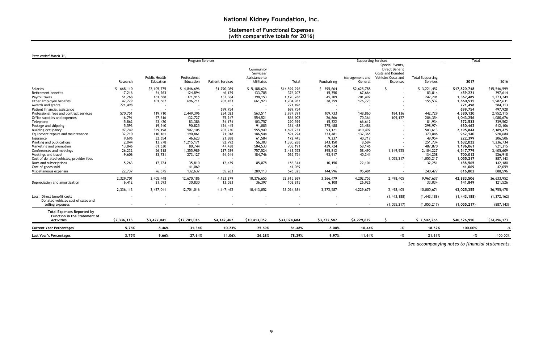### **Statement of Functional Expenses (with comparative totals for 2016)**

| Year ended March 31,                                                                       |                             |                                   |                               |                             |                                                       |                                   |                             |                            |                                                                                                        |                                     |                                   |                                   |
|--------------------------------------------------------------------------------------------|-----------------------------|-----------------------------------|-------------------------------|-----------------------------|-------------------------------------------------------|-----------------------------------|-----------------------------|----------------------------|--------------------------------------------------------------------------------------------------------|-------------------------------------|-----------------------------------|-----------------------------------|
|                                                                                            |                             |                                   | Program Services              |                             |                                                       |                                   |                             | <b>Supporting Services</b> |                                                                                                        |                                     | <b>Total</b>                      |                                   |
|                                                                                            | Research                    | <b>Public Health</b><br>Education | Professional<br>Education     | <b>Patient Services</b>     | Community<br>Services/<br>Assistance to<br>Affiliates | Total                             | Fundraising                 | Management and<br>General  | Special Events,<br><b>Direct Benefit</b><br><b>Costs and Donated</b><br>Vehicles Costs and<br>Expenses | <b>Total Supporting</b><br>Services | 2017                              | 2016                              |
| Salaries<br>Retirement benefits                                                            | \$668,110<br>17,216         | \$2,105,775<br>54,263             | \$4,846,696<br>124,894        | \$1,790,089<br>46,129       | \$5,188,626<br>133,705                                | \$14,599,296<br>376,207           | \$595,664<br>15,350         | \$2,625,788<br>67,664      | Ś                                                                                                      | \$3,221,452<br>83,014               | \$17,820,748<br>459,221           | \$15,546,599<br>397,614           |
| Payroll taxes<br>Other employee benefits<br>Awards and grants                              | 51,268<br>42,729<br>721,498 | 161,588<br>101,667                | 371,915<br>696,211            | 137,364<br>202,453          | 398,153<br>661,923                                    | 1,120,288<br>1,704,983<br>721,498 | 45,709<br>28,759            | 201,492<br>126,773         |                                                                                                        | 247,201<br>155,532                  | 1,367,489<br>1,860,515<br>721,498 | 1,273,249<br>1,982,631<br>584,313 |
| Patient financial assistance<br>Professional fees and contract services                    | 570,751                     | 119,710                           | 2,449,396                     | 699,754<br>234,023          | 563,511                                               | 699,754<br>3,937,391              | 109,733                     | 148,860                    | 184,136                                                                                                | 442,729                             | 699,754<br>4,380,120              | 497,928<br>2,952,115              |
| Office supplies and expenses<br>Telephone<br>Postage and shipping                          | 16,791<br>15,862<br>5,593   | 57,616<br>53,420<br>19,540        | 132,727<br>83,386<br>90,825   | 75,247<br>34,174<br>124,445 | 554,521<br>103,757<br>91,085                          | 836,902<br>290,599<br>331,488     | 26,866<br>15,322<br>275,488 | 70,361<br>66,612<br>23,486 | 109,127                                                                                                | 206,354<br>81,934<br>298,974        | 1,043,256<br>372,533<br>630,462   | 1,080,676<br>339,502<br>612,106   |
| <b>Building occupancy</b><br>Equipment repairs and maintenance                             | 97,749<br>32,710            | 329,198<br>110,161                | 502,105<br>190,861            | 207,230<br>71,018           | 555,949<br>186,544                                    | 1,692,231<br>591,294              | 93,121<br>233,481           | 410,492<br>137,365         |                                                                                                        | 503,613<br>370,846                  | 2,195,844<br>962,140              | 2,189,475<br>920,684              |
| Insurance<br>Printing and publications<br>Marketing and promotion                          | 9,696<br>2,044<br>13,846    | 32,654<br>13,978<br>61,630        | 46,623<br>1,215,171<br>80,744 | 21,888<br>92,792<br>47,438  | 61,584<br>56,303<br>504,533                           | 172,445<br>1,380,288<br>708,191   | 9,237<br>243,150<br>429,724 | 40,717<br>8,584<br>58,146  |                                                                                                        | 49,954<br>251,734<br>487,870        | 222,399<br>1,632,022<br>1,196,061 | 206,506<br>1,236,734<br>921,315   |
| Conferences and meetings<br>Meetings and travel<br>Cost of donated vehicles, provider fees | 26,232<br>9,606             | 56,218<br>33,731                  | 1,355,989<br>273,127          | 217,589<br>64,544           | 757,524<br>184,746                                    | 2,413,552<br>565,754              | 895,812<br>93,917<br>- 11   | 58,490<br>40,341           | 1,149,925<br>1,055,217                                                                                 | 2,104,227<br>134,258<br>1,055,217   | 4,517,779<br>700,012<br>1,055,217 | 3,405,609<br>526,918<br>887,143   |
| Dues and subscriptions<br>Cost of goods sold                                               | 5,263                       | 17,724                            | 35,810<br>41,069              | 12,439                      | 85,078                                                | 156,314<br>41,069                 | 10,150                      | 22,101                     |                                                                                                        | 32,251                              | 188,565<br>41,069                 | 142,180<br>42,059                 |
| Miscellaneous expenses                                                                     | 22,737                      | 76,575                            | 132,637                       | 55,263                      | 289,113                                               | 576,325                           | 144,996                     | 95,481                     |                                                                                                        | 240,477                             | 816,802                           | 888,596                           |
| Depreciation and amortization                                                              | 2,329,701<br>6,412          | 3,405,448<br>21,593               | 12,670,186<br>30,830          | 4,133,879<br>13,583         | 10,376,655<br>36,397                                  | 32,915,869<br>108,815             | 3,266,479<br>6,108          | 4,202,753<br>26,926        | 2,498,405                                                                                              | 9,967,637<br>33,034                 | 42,883,506<br>141,849             | 36,633,952<br>121,526             |
|                                                                                            | 2,336,113                   | 3,427,041                         | 12,701,016                    | 4, 147, 462                 | 10,413,052                                            | 33,024,684                        | 3,272,587                   | 4,229,679                  | 2,498,405                                                                                              | 10,000,671                          | 43,025,355                        | 36,755,478                        |
| Less: Direct benefit costs<br>Donated vehicles cost of sales and                           |                             |                                   |                               |                             |                                                       |                                   |                             |                            | (1, 443, 188)                                                                                          | (1, 443, 188)                       | (1, 443, 188)                     | (1, 372, 162)                     |
| selling expenses<br><b>Total Expenses Reported by</b><br>Function in the Statement of      |                             |                                   |                               |                             |                                                       |                                   |                             |                            | (1,055,217)                                                                                            | (1,055,217)                         | (1,055,217)                       | (887, 143)                        |
| <b>Activities</b>                                                                          | \$2,336,113                 | \$3,427,041                       | \$12,701,016                  | \$4,147,462                 | \$10,413,052                                          | \$33,024,684                      | \$3,272,587                 | \$4,229,679                | Ŝ.                                                                                                     | \$7,502,266                         | \$40,526,950                      | \$34,496,173                      |
| <b>Current Year Percentages</b>                                                            | 5.76%                       | 8.46%                             | 31.34%                        | 10.23%                      | 25.69%                                                | 81.48%                            | 8.08%                       | 10.44%                     | -%                                                                                                     | 18.52%                              | 100.00%                           | $-%$                              |
| Last Year's Percentages                                                                    | 3.75%                       | 9.66%                             | 27.64%                        | 11.06%                      | 26.28%                                                | 78.39%                            | 9.97%                       | 11.64%                     | -%                                                                                                     | 21.61%                              | -%                                | 100.00%                           |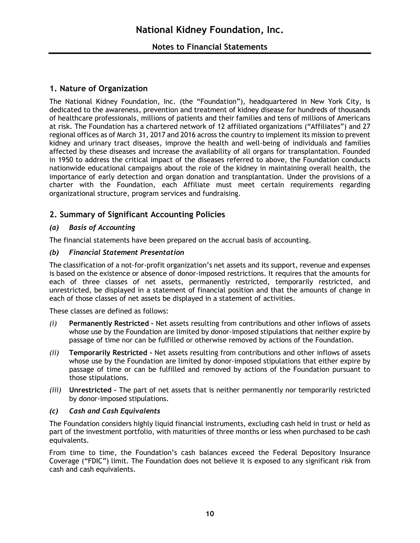## **1. Nature of Organization**

The National Kidney Foundation, Inc. (the "Foundation"), headquartered in New York City, is dedicated to the awareness, prevention and treatment of kidney disease for hundreds of thousands of healthcare professionals, millions of patients and their families and tens of millions of Americans at risk. The Foundation has a chartered network of 12 affiliated organizations ("Affiliates") and 27 regional offices as of March 31, 2017 and 2016 across the country to implement its mission to prevent kidney and urinary tract diseases, improve the health and well-being of individuals and families affected by these diseases and increase the availability of all organs for transplantation. Founded in 1950 to address the critical impact of the diseases referred to above, the Foundation conducts nationwide educational campaigns about the role of the kidney in maintaining overall health, the importance of early detection and organ donation and transplantation. Under the provisions of a charter with the Foundation, each Affiliate must meet certain requirements regarding organizational structure, program services and fundraising.

## **2. Summary of Significant Accounting Policies**

### *(a) Basis of Accounting*

The financial statements have been prepared on the accrual basis of accounting.

### *(b) Financial Statement Presentation*

The classification of a not-for-profit organization's net assets and its support, revenue and expenses is based on the existence or absence of donor-imposed restrictions. It requires that the amounts for each of three classes of net assets, permanently restricted, temporarily restricted, and unrestricted, be displayed in a statement of financial position and that the amounts of change in each of those classes of net assets be displayed in a statement of activities.

These classes are defined as follows:

- *(i)* **Permanently Restricted –** Net assets resulting from contributions and other inflows of assets whose use by the Foundation are limited by donor-imposed stipulations that neither expire by passage of time nor can be fulfilled or otherwise removed by actions of the Foundation.
- *(ii)* **Temporarily Restricted –** Net assets resulting from contributions and other inflows of assets whose use by the Foundation are limited by donor-imposed stipulations that either expire by passage of time or can be fulfilled and removed by actions of the Foundation pursuant to those stipulations.
- *(iii)* **Unrestricted –** The part of net assets that is neither permanently nor temporarily restricted by donor-imposed stipulations.

#### *(c) Cash and Cash Equivalents*

The Foundation considers highly liquid financial instruments, excluding cash held in trust or held as part of the investment portfolio, with maturities of three months or less when purchased to be cash equivalents.

From time to time, the Foundation's cash balances exceed the Federal Depository Insurance Coverage ("FDIC") limit. The Foundation does not believe it is exposed to any significant risk from cash and cash equivalents.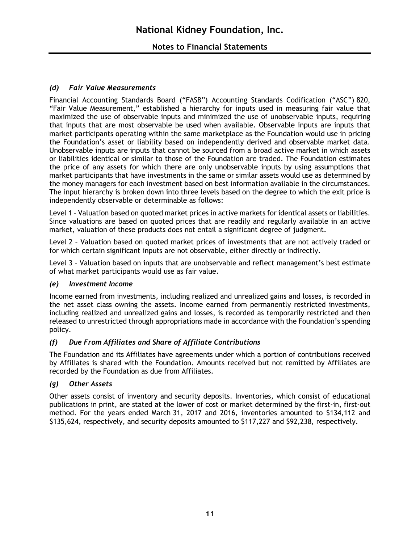## **Notes to Financial Statements**

#### *(d) Fair Value Measurements*

Financial Accounting Standards Board ("FASB") Accounting Standards Codification ("ASC") 820, "Fair Value Measurement," established a hierarchy for inputs used in measuring fair value that maximized the use of observable inputs and minimized the use of unobservable inputs, requiring that inputs that are most observable be used when available. Observable inputs are inputs that market participants operating within the same marketplace as the Foundation would use in pricing the Foundation's asset or liability based on independently derived and observable market data. Unobservable inputs are inputs that cannot be sourced from a broad active market in which assets or liabilities identical or similar to those of the Foundation are traded. The Foundation estimates the price of any assets for which there are only unobservable inputs by using assumptions that market participants that have investments in the same or similar assets would use as determined by the money managers for each investment based on best information available in the circumstances. The input hierarchy is broken down into three levels based on the degree to which the exit price is independently observable or determinable as follows:

Level 1 – Valuation based on quoted market prices in active markets for identical assets or liabilities. Since valuations are based on quoted prices that are readily and regularly available in an active market, valuation of these products does not entail a significant degree of judgment.

Level 2 – Valuation based on quoted market prices of investments that are not actively traded or for which certain significant inputs are not observable, either directly or indirectly.

Level 3 – Valuation based on inputs that are unobservable and reflect management's best estimate of what market participants would use as fair value.

#### *(e) Investment Income*

Income earned from investments, including realized and unrealized gains and losses, is recorded in the net asset class owning the assets. Income earned from permanently restricted investments, including realized and unrealized gains and losses, is recorded as temporarily restricted and then released to unrestricted through appropriations made in accordance with the Foundation's spending policy.

#### *(f) Due From Affiliates and Share of Affiliate Contributions*

The Foundation and its Affiliates have agreements under which a portion of contributions received by Affiliates is shared with the Foundation. Amounts received but not remitted by Affiliates are recorded by the Foundation as due from Affiliates.

#### *(g) Other Assets*

Other assets consist of inventory and security deposits. Inventories, which consist of educational publications in print, are stated at the lower of cost or market determined by the first-in, first-out method. For the years ended March 31, 2017 and 2016, inventories amounted to \$134,112 and \$135,624, respectively, and security deposits amounted to \$117,227 and \$92,238, respectively.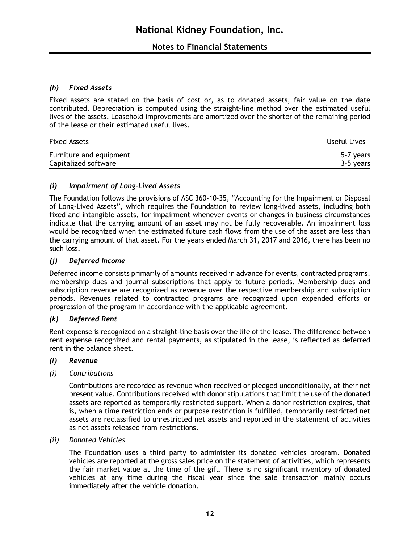#### *(h) Fixed Assets*

Fixed assets are stated on the basis of cost or, as to donated assets, fair value on the date contributed. Depreciation is computed using the straight-line method over the estimated useful lives of the assets. Leasehold improvements are amortized over the shorter of the remaining period of the lease or their estimated useful lives.

| <b>Fixed Assets</b>     | Useful Lives |
|-------------------------|--------------|
| Furniture and equipment | 5-7 years    |
| Capitalized software    | 3-5 years    |

#### *(i) Impairment of Long-Lived Assets*

The Foundation follows the provisions of ASC 360-10-35, "Accounting for the Impairment or Disposal of Long-Lived Assets", which requires the Foundation to review long-lived assets, including both fixed and intangible assets, for impairment whenever events or changes in business circumstances indicate that the carrying amount of an asset may not be fully recoverable. An impairment loss would be recognized when the estimated future cash flows from the use of the asset are less than the carrying amount of that asset. For the years ended March 31, 2017 and 2016, there has been no such loss.

#### *(j) Deferred Income*

Deferred income consists primarily of amounts received in advance for events, contracted programs, membership dues and journal subscriptions that apply to future periods. Membership dues and subscription revenue are recognized as revenue over the respective membership and subscription periods. Revenues related to contracted programs are recognized upon expended efforts or progression of the program in accordance with the applicable agreement.

#### *(k) Deferred Rent*

Rent expense is recognized on a straight-line basis over the life of the lease. The difference between rent expense recognized and rental payments, as stipulated in the lease, is reflected as deferred rent in the balance sheet.

#### *(l) Revenue*

#### *(i) Contributions*

Contributions are recorded as revenue when received or pledged unconditionally, at their net present value. Contributions received with donor stipulations that limit the use of the donated assets are reported as temporarily restricted support. When a donor restriction expires, that is, when a time restriction ends or purpose restriction is fulfilled, temporarily restricted net assets are reclassified to unrestricted net assets and reported in the statement of activities as net assets released from restrictions.

#### *(ii) Donated Vehicles*

The Foundation uses a third party to administer its donated vehicles program. Donated vehicles are reported at the gross sales price on the statement of activities, which represents the fair market value at the time of the gift. There is no significant inventory of donated vehicles at any time during the fiscal year since the sale transaction mainly occurs immediately after the vehicle donation.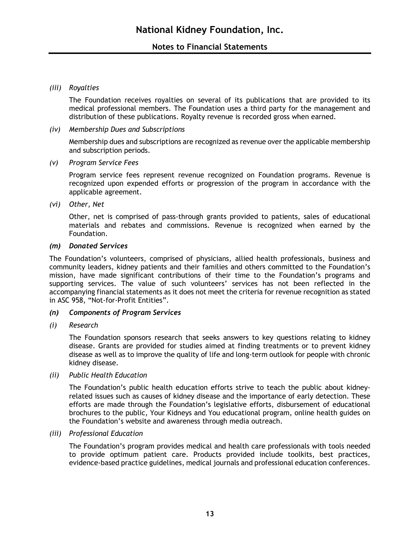#### *(iii) Royalties*

The Foundation receives royalties on several of its publications that are provided to its medical professional members. The Foundation uses a third party for the management and distribution of these publications. Royalty revenue is recorded gross when earned.

#### *(iv) Membership Dues and Subscriptions*

Membership dues and subscriptions are recognized as revenue over the applicable membership and subscription periods.

*(v) Program Service Fees*

Program service fees represent revenue recognized on Foundation programs. Revenue is recognized upon expended efforts or progression of the program in accordance with the applicable agreement.

*(vi) Other, Net*

Other, net is comprised of pass-through grants provided to patients, sales of educational materials and rebates and commissions. Revenue is recognized when earned by the Foundation.

#### *(m) Donated Services*

The Foundation's volunteers, comprised of physicians, allied health professionals, business and community leaders, kidney patients and their families and others committed to the Foundation's mission, have made significant contributions of their time to the Foundation's programs and supporting services. The value of such volunteers' services has not been reflected in the accompanying financial statements as it does not meet the criteria for revenue recognition as stated in ASC 958, "Not-for-Profit Entities".

#### *(n) Components of Program Services*

*(i) Research*

The Foundation sponsors research that seeks answers to key questions relating to kidney disease. Grants are provided for studies aimed at finding treatments or to prevent kidney disease as well as to improve the quality of life and long-term outlook for people with chronic kidney disease.

#### *(ii) Public Health Education*

The Foundation's public health education efforts strive to teach the public about kidneyrelated issues such as causes of kidney disease and the importance of early detection. These efforts are made through the Foundation's legislative efforts, disbursement of educational brochures to the public, Your Kidneys and You educational program, online health guides on the Foundation's website and awareness through media outreach.

#### *(iii) Professional Education*

The Foundation's program provides medical and health care professionals with tools needed to provide optimum patient care. Products provided include toolkits, best practices, evidence-based practice guidelines, medical journals and professional education conferences.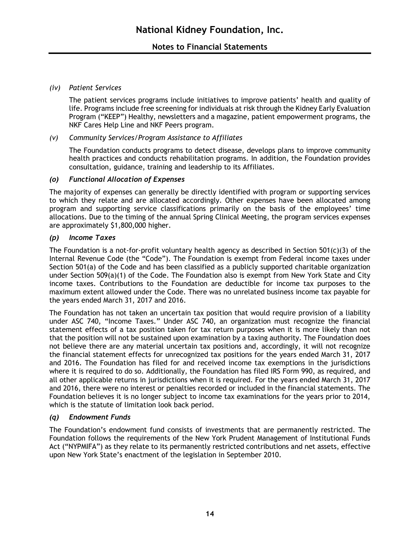#### *(iv) Patient Services*

The patient services programs include initiatives to improve patients' health and quality of life. Programs include free screening for individuals at risk through the Kidney Early Evaluation Program ("KEEP") Healthy, newsletters and a magazine, patient empowerment programs, the NKF Cares Help Line and NKF Peers program.

#### *(v) Community Services/Program Assistance to Affiliates*

The Foundation conducts programs to detect disease, develops plans to improve community health practices and conducts rehabilitation programs. In addition, the Foundation provides consultation, guidance, training and leadership to its Affiliates.

#### *(o) Functional Allocation of Expenses*

The majority of expenses can generally be directly identified with program or supporting services to which they relate and are allocated accordingly. Other expenses have been allocated among program and supporting service classifications primarily on the basis of the employees' time allocations. Due to the timing of the annual Spring Clinical Meeting, the program services expenses are approximately \$1,800,000 higher.

#### *(p) Income Taxes*

The Foundation is a not-for-profit voluntary health agency as described in Section  $501(c)(3)$  of the Internal Revenue Code (the "Code"). The Foundation is exempt from Federal income taxes under Section 501(a) of the Code and has been classified as a publicly supported charitable organization under Section 509(a)(1) of the Code. The Foundation also is exempt from New York State and City income taxes. Contributions to the Foundation are deductible for income tax purposes to the maximum extent allowed under the Code. There was no unrelated business income tax payable for the years ended March 31, 2017 and 2016.

The Foundation has not taken an uncertain tax position that would require provision of a liability under ASC 740, "Income Taxes." Under ASC 740, an organization must recognize the financial statement effects of a tax position taken for tax return purposes when it is more likely than not that the position will not be sustained upon examination by a taxing authority. The Foundation does not believe there are any material uncertain tax positions and, accordingly, it will not recognize the financial statement effects for unrecognized tax positions for the years ended March 31, 2017 and 2016. The Foundation has filed for and received income tax exemptions in the jurisdictions where it is required to do so. Additionally, the Foundation has filed IRS Form 990, as required, and all other applicable returns in jurisdictions when it is required. For the years ended March 31, 2017 and 2016, there were no interest or penalties recorded or included in the financial statements. The Foundation believes it is no longer subject to income tax examinations for the years prior to 2014, which is the statute of limitation look back period.

#### *(q) Endowment Funds*

The Foundation's endowment fund consists of investments that are permanently restricted. The Foundation follows the requirements of the New York Prudent Management of Institutional Funds Act ("NYPMIFA") as they relate to its permanently restricted contributions and net assets, effective upon New York State's enactment of the legislation in September 2010.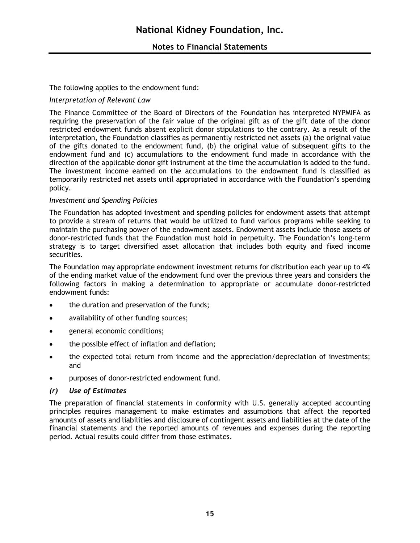The following applies to the endowment fund:

#### *Interpretation of Relevant Law*

The Finance Committee of the Board of Directors of the Foundation has interpreted NYPMIFA as requiring the preservation of the fair value of the original gift as of the gift date of the donor restricted endowment funds absent explicit donor stipulations to the contrary. As a result of the interpretation, the Foundation classifies as permanently restricted net assets (a) the original value of the gifts donated to the endowment fund, (b) the original value of subsequent gifts to the endowment fund and (c) accumulations to the endowment fund made in accordance with the direction of the applicable donor gift instrument at the time the accumulation is added to the fund. The investment income earned on the accumulations to the endowment fund is classified as temporarily restricted net assets until appropriated in accordance with the Foundation's spending policy.

#### *Investment and Spending Policies*

The Foundation has adopted investment and spending policies for endowment assets that attempt to provide a stream of returns that would be utilized to fund various programs while seeking to maintain the purchasing power of the endowment assets. Endowment assets include those assets of donor-restricted funds that the Foundation must hold in perpetuity. The Foundation's long-term strategy is to target diversified asset allocation that includes both equity and fixed income securities.

The Foundation may appropriate endowment investment returns for distribution each year up to 4% of the ending market value of the endowment fund over the previous three years and considers the following factors in making a determination to appropriate or accumulate donor-restricted endowment funds:

- the duration and preservation of the funds;
- availability of other funding sources;
- general economic conditions;
- the possible effect of inflation and deflation;
- the expected total return from income and the appreciation/depreciation of investments; and
- purposes of donor-restricted endowment fund.

#### *(r) Use of Estimates*

The preparation of financial statements in conformity with U.S. generally accepted accounting principles requires management to make estimates and assumptions that affect the reported amounts of assets and liabilities and disclosure of contingent assets and liabilities at the date of the financial statements and the reported amounts of revenues and expenses during the reporting period. Actual results could differ from those estimates.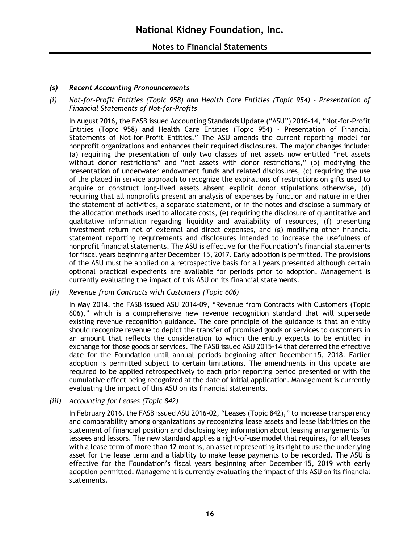#### *(s) Recent Accounting Pronouncements*

*(i) Not-for-Profit Entities (Topic 958) and Health Care Entities (Topic 954) – Presentation of Financial Statements of Not-for-Profits*

In August 2016, the FASB issued Accounting Standards Update ("ASU") 2016-14, "Not-for-Profit Entities (Topic 958) and Health Care Entities (Topic 954) - Presentation of Financial Statements of Not-for-Profit Entities." The ASU amends the current reporting model for nonprofit organizations and enhances their required disclosures. The major changes include: (a) requiring the presentation of only two classes of net assets now entitled "net assets without donor restrictions" and "net assets with donor restrictions," (b) modifying the presentation of underwater endowment funds and related disclosures, (c) requiring the use of the placed in service approach to recognize the expirations of restrictions on gifts used to acquire or construct long-lived assets absent explicit donor stipulations otherwise, (d) requiring that all nonprofits present an analysis of expenses by function and nature in either the statement of activities, a separate statement, or in the notes and disclose a summary of the allocation methods used to allocate costs, (e) requiring the disclosure of quantitative and qualitative information regarding liquidity and availability of resources, (f) presenting investment return net of external and direct expenses, and (g) modifying other financial statement reporting requirements and disclosures intended to increase the usefulness of nonprofit financial statements. The ASU is effective for the Foundation's financial statements for fiscal years beginning after December 15, 2017. Early adoption is permitted. The provisions of the ASU must be applied on a retrospective basis for all years presented although certain optional practical expedients are available for periods prior to adoption. Management is currently evaluating the impact of this ASU on its financial statements.

*(ii) Revenue from Contracts with Customers (Topic 606)*

In May 2014, the FASB issued ASU 2014-09, "Revenue from Contracts with Customers (Topic 606)," which is a comprehensive new revenue recognition standard that will supersede existing revenue recognition guidance. The core principle of the guidance is that an entity should recognize revenue to depict the transfer of promised goods or services to customers in an amount that reflects the consideration to which the entity expects to be entitled in exchange for those goods or services. The FASB issued ASU 2015-14 that deferred the effective date for the Foundation until annual periods beginning after December 15, 2018. Earlier adoption is permitted subject to certain limitations. The amendments in this update are required to be applied retrospectively to each prior reporting period presented or with the cumulative effect being recognized at the date of initial application. Management is currently evaluating the impact of this ASU on its financial statements.

*(iii) Accounting for Leases (Topic 842)*

In February 2016, the FASB issued ASU 2016-02, "Leases (Topic 842)," to increase transparency and comparability among organizations by recognizing lease assets and lease liabilities on the statement of financial position and disclosing key information about leasing arrangements for lessees and lessors. The new standard applies a right-of-use model that requires, for all leases with a lease term of more than 12 months, an asset representing its right to use the underlying asset for the lease term and a liability to make lease payments to be recorded. The ASU is effective for the Foundation's fiscal years beginning after December 15, 2019 with early adoption permitted. Management is currently evaluating the impact of this ASU on its financial statements.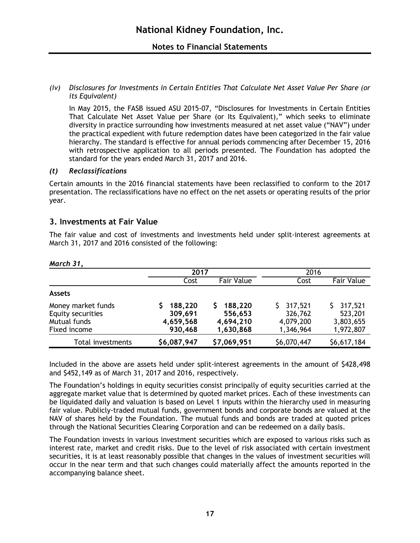## **Notes to Financial Statements**

#### *(iv) Disclosures for Investments in Certain Entities That Calculate Net Asset Value Per Share (or its Equivalent)*

In May 2015, the FASB issued ASU 2015-07, "Disclosures for Investments in Certain Entities That Calculate Net Asset Value per Share (or Its Equivalent)," which seeks to eliminate diversity in practice surrounding how investments measured at net asset value ("NAV") under the practical expedient with future redemption dates have been categorized in the fair value hierarchy. The standard is effective for annual periods commencing after December 15, 2016 with retrospective application to all periods presented. The Foundation has adopted the standard for the years ended March 31, 2017 and 2016.

#### *(t) Reclassifications*

Certain amounts in the 2016 financial statements have been reclassified to conform to the 2017 presentation. The reclassifications have no effect on the net assets or operating results of the prior year.

#### **3. Investments at Fair Value**

The fair value and cost of investments and investments held under split-interest agreements at March 31, 2017 and 2016 consisted of the following:

|                                                                         | 2017                                       |                                              | 2016                                         |                                                |  |
|-------------------------------------------------------------------------|--------------------------------------------|----------------------------------------------|----------------------------------------------|------------------------------------------------|--|
|                                                                         | Cost                                       | Fair Value                                   | Cost                                         | <b>Fair Value</b>                              |  |
| <b>Assets</b>                                                           |                                            |                                              |                                              |                                                |  |
| Money market funds<br>Equity securities<br>Mutual funds<br>Fixed income | 188,220<br>309,691<br>4,659,568<br>930,468 | 188,220<br>556,653<br>4,694,210<br>1,630,868 | 317,521<br>326,762<br>4,079,200<br>1,346,964 | \$317,521<br>523,201<br>3,803,655<br>1,972,807 |  |
| Total investments                                                       | \$6,087,947                                | \$7,069,951                                  | \$6,070,447                                  | \$6,617,184                                    |  |

#### *March 31,*

Included in the above are assets held under split-interest agreements in the amount of \$428,498 and \$452,149 as of March 31, 2017 and 2016, respectively.

The Foundation's holdings in equity securities consist principally of equity securities carried at the aggregate market value that is determined by quoted market prices. Each of these investments can be liquidated daily and valuation is based on Level 1 inputs within the hierarchy used in measuring fair value. Publicly-traded mutual funds, government bonds and corporate bonds are valued at the NAV of shares held by the Foundation. The mutual funds and bonds are traded at quoted prices through the National Securities Clearing Corporation and can be redeemed on a daily basis.

The Foundation invests in various investment securities which are exposed to various risks such as interest rate, market and credit risks. Due to the level of risk associated with certain investment securities, it is at least reasonably possible that changes in the values of investment securities will occur in the near term and that such changes could materially affect the amounts reported in the accompanying balance sheet.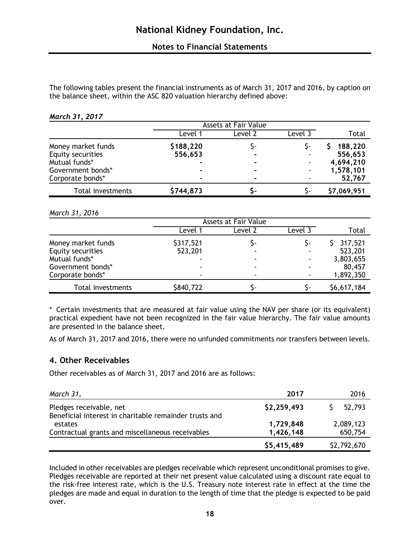## **Notes to Financial Statements**

The following tables present the financial instruments as of March 31, 2017 and 2016, by caption on the balance sheet, within the ASC 820 valuation hierarchy defined above:

#### *March 31, 2017*

|                    | Assets at Fair Value |         |                |             |
|--------------------|----------------------|---------|----------------|-------------|
|                    | Level 1              | Level 2 | Level 3        | Total       |
| Money market funds | \$188,220            |         |                | 188,220     |
| Equity securities  | 556,653              | -       |                | 556,653     |
| Mutual funds*      | -                    | -       | $\blacksquare$ | 4,694,210   |
| Government bonds*  | ۰                    | -       |                | 1,578,101   |
| Corporate bonds*   | -                    | -       |                | 52,767      |
| Total investments  | \$744,873            |         |                | \$7,069,951 |

*March 31, 2016*

|                    | Assets at Fair Value |         |                          |             |
|--------------------|----------------------|---------|--------------------------|-------------|
|                    | Level 1              | Level 2 | Level 3                  | Total       |
| Money market funds | \$317,521            |         |                          | 317,521     |
| Equity securities  | 523,201              |         | $\overline{\phantom{0}}$ | 523,201     |
| Mutual funds*      |                      |         | $\blacksquare$           | 3,803,655   |
| Government bonds*  |                      |         |                          | 80,457      |
| Corporate bonds*   | $\blacksquare$       |         |                          | 1,892,350   |
| Total investments  | \$840,722            |         |                          | \$6,617,184 |

\* Certain investments that are measured at fair value using the NAV per share (or its equivalent) practical expedient have not been recognized in the fair value hierarchy. The fair value amounts are presented in the balance sheet.

As of March 31, 2017 and 2016, there were no unfunded commitments nor transfers between levels.

#### **4. Other Receivables**

Other receivables as of March 31, 2017 and 2016 are as follows:

| March 31,                                              | 2017        | 2016        |
|--------------------------------------------------------|-------------|-------------|
| Pledges receivable, net                                | \$2,259,493 | 52,793      |
| Beneficial interest in charitable remainder trusts and |             |             |
| estates                                                | 1,729,848   | 2,089,123   |
| Contractual grants and miscellaneous receivables       | 1,426,148   | 650,754     |
|                                                        | \$5,415,489 | \$2,792,670 |

Included in other receivables are pledges receivable which represent unconditional promises to give. Pledges receivable are reported at their net present value calculated using a discount rate equal to the risk-free interest rate, which is the U.S. Treasury note interest rate in effect at the time the pledges are made and equal in duration to the length of time that the pledge is expected to be paid over.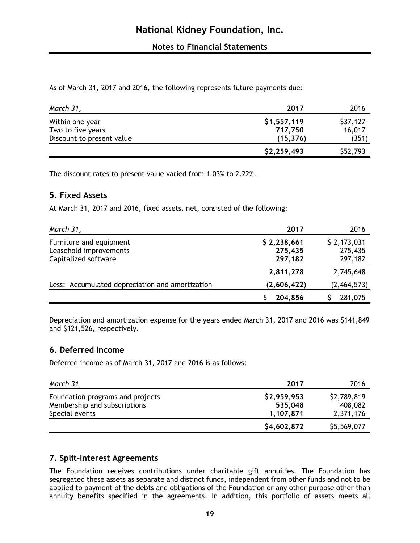As of March 31, 2017 and 2016, the following represents future payments due:

| March 31,                 | 2017        | 2016     |
|---------------------------|-------------|----------|
| Within one year           | \$1,557,119 | \$37,127 |
| Two to five years         | 717,750     | 16,017   |
| Discount to present value | (15, 376)   | (351)    |
|                           | \$2,259,493 | \$52,793 |

The discount rates to present value varied from 1.03% to 2.22%.

### **5. Fixed Assets**

At March 31, 2017 and 2016, fixed assets, net, consisted of the following:

| March 31,                                       | 2017        | 2016        |
|-------------------------------------------------|-------------|-------------|
| Furniture and equipment                         | \$2,238,661 | \$2,173,031 |
| Leasehold improvements                          | 275,435     | 275,435     |
| Capitalized software                            | 297,182     | 297,182     |
|                                                 | 2,811,278   | 2,745,648   |
| Less: Accumulated depreciation and amortization | (2,606,422) | (2,464,573) |
|                                                 | 204,856     | 281,075     |

Depreciation and amortization expense for the years ended March 31, 2017 and 2016 was \$141,849 and \$121,526, respectively.

## **6. Deferred Income**

Deferred income as of March 31, 2017 and 2016 is as follows:

| March 31,                                                                          | 2017                                | 2016                                |
|------------------------------------------------------------------------------------|-------------------------------------|-------------------------------------|
| Foundation programs and projects<br>Membership and subscriptions<br>Special events | \$2,959,953<br>535,048<br>1,107,871 | \$2,789,819<br>408,082<br>2,371,176 |
|                                                                                    | \$4,602,872                         | \$5,569,077                         |

## **7. Split-Interest Agreements**

The Foundation receives contributions under charitable gift annuities. The Foundation has segregated these assets as separate and distinct funds, independent from other funds and not to be applied to payment of the debts and obligations of the Foundation or any other purpose other than annuity benefits specified in the agreements. In addition, this portfolio of assets meets all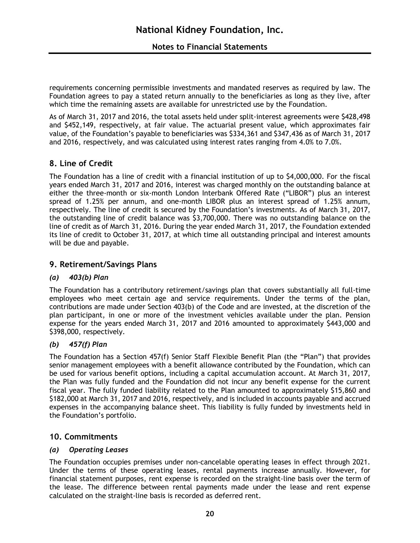## **Notes to Financial Statements**

requirements concerning permissible investments and mandated reserves as required by law. The Foundation agrees to pay a stated return annually to the beneficiaries as long as they live, after which time the remaining assets are available for unrestricted use by the Foundation.

As of March 31, 2017 and 2016, the total assets held under split-interest agreements were \$428,498 and \$452,149, respectively, at fair value. The actuarial present value, which approximates fair value, of the Foundation's payable to beneficiaries was \$334,361 and \$347,436 as of March 31, 2017 and 2016, respectively, and was calculated using interest rates ranging from 4.0% to 7.0%.

## **8. Line of Credit**

The Foundation has a line of credit with a financial institution of up to \$4,000,000. For the fiscal years ended March 31, 2017 and 2016, interest was charged monthly on the outstanding balance at either the three-month or six-month London Interbank Offered Rate ("LIBOR") plus an interest spread of 1.25% per annum, and one-month LIBOR plus an interest spread of 1.25% annum, respectively. The line of credit is secured by the Foundation's investments. As of March 31, 2017, the outstanding line of credit balance was \$3,700,000. There was no outstanding balance on the line of credit as of March 31, 2016. During the year ended March 31, 2017, the Foundation extended its line of credit to October 31, 2017, at which time all outstanding principal and interest amounts will be due and payable.

## **9. Retirement/Savings Plans**

#### *(a) 403(b) Plan*

The Foundation has a contributory retirement/savings plan that covers substantially all full-time employees who meet certain age and service requirements. Under the terms of the plan, contributions are made under Section 403(b) of the Code and are invested, at the discretion of the plan participant, in one or more of the investment vehicles available under the plan. Pension expense for the years ended March 31, 2017 and 2016 amounted to approximately \$443,000 and \$398,000, respectively.

#### *(b) 457(f) Plan*

The Foundation has a Section 457(f) Senior Staff Flexible Benefit Plan (the "Plan") that provides senior management employees with a benefit allowance contributed by the Foundation, which can be used for various benefit options, including a capital accumulation account. At March 31, 2017, the Plan was fully funded and the Foundation did not incur any benefit expense for the current fiscal year. The fully funded liability related to the Plan amounted to approximately \$15,860 and \$182,000 at March 31, 2017 and 2016, respectively, and is included in accounts payable and accrued expenses in the accompanying balance sheet. This liability is fully funded by investments held in the Foundation's portfolio.

#### **10. Commitments**

#### *(a) Operating Leases*

The Foundation occupies premises under non-cancelable operating leases in effect through 2021. Under the terms of these operating leases, rental payments increase annually. However, for financial statement purposes, rent expense is recorded on the straight-line basis over the term of the lease. The difference between rental payments made under the lease and rent expense calculated on the straight-line basis is recorded as deferred rent.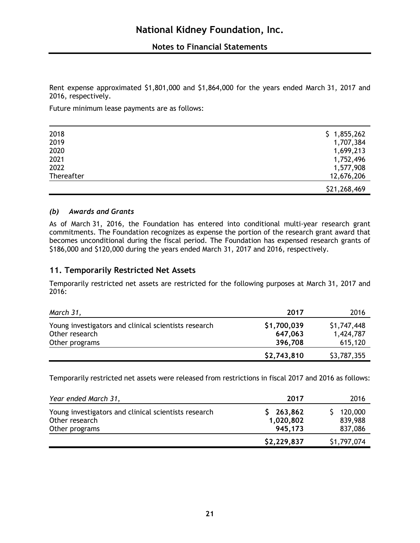Rent expense approximated \$1,801,000 and \$1,864,000 for the years ended March 31, 2017 and 2016, respectively.

Future minimum lease payments are as follows:

| 2018       | \$1,855,262  |
|------------|--------------|
| 2019       | 1,707,384    |
| 2020       | 1,699,213    |
| 2021       | 1,752,496    |
| 2022       | 1,577,908    |
| Thereafter | 12,676,206   |
|            | \$21,268,469 |

#### *(b) Awards and Grants*

As of March 31, 2016, the Foundation has entered into conditional multi-year research grant commitments. The Foundation recognizes as expense the portion of the research grant award that becomes unconditional during the fiscal period. The Foundation has expensed research grants of \$186,000 and \$120,000 during the years ended March 31, 2017 and 2016, respectively.

### **11. Temporarily Restricted Net Assets**

Temporarily restricted net assets are restricted for the following purposes at March 31, 2017 and 2016:

| March 31,                                                                                | 2017                              | 2016                                |
|------------------------------------------------------------------------------------------|-----------------------------------|-------------------------------------|
| Young investigators and clinical scientists research<br>Other research<br>Other programs | \$1,700,039<br>647,063<br>396,708 | \$1,747,448<br>1,424,787<br>615,120 |
|                                                                                          | \$2,743,810                       | \$3,787,355                         |

Temporarily restricted net assets were released from restrictions in fiscal 2017 and 2016 as follows:

| Year ended March 31,                                                                     | 2017                              | 2016                          |
|------------------------------------------------------------------------------------------|-----------------------------------|-------------------------------|
| Young investigators and clinical scientists research<br>Other research<br>Other programs | \$263,862<br>1,020,802<br>945,173 | 120,000<br>839,988<br>837,086 |
|                                                                                          | \$2,229,837                       | \$1,797,074                   |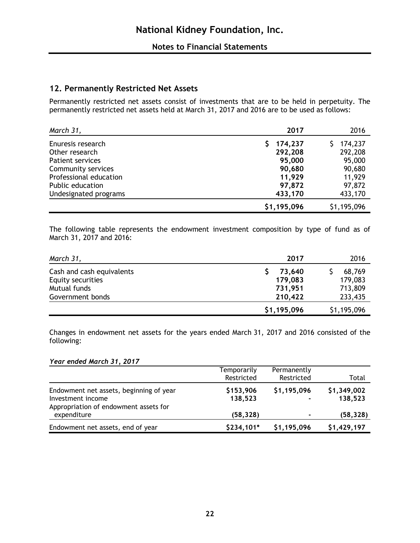## **12. Permanently Restricted Net Assets**

Permanently restricted net assets consist of investments that are to be held in perpetuity. The permanently restricted net assets held at March 31, 2017 and 2016 are to be used as follows:

| March 31,               | 2017        | 2016        |
|-------------------------|-------------|-------------|
| Enuresis research       | 174,237     | 174,237     |
| Other research          | 292,208     | 292,208     |
| <b>Patient services</b> | 95,000      | 95,000      |
| Community services      | 90,680      | 90,680      |
| Professional education  | 11,929      | 11,929      |
| Public education        | 97,872      | 97,872      |
| Undesignated programs   | 433,170     | 433,170     |
|                         | \$1,195,096 | \$1,195,096 |

The following table represents the endowment investment composition by type of fund as of March 31, 2017 and 2016:

| March 31,                 | 2017        | 2016        |
|---------------------------|-------------|-------------|
| Cash and cash equivalents | 73,640      | 68,769      |
| Equity securities         | 179,083     | 179,083     |
| Mutual funds              | 731,951     | 713,809     |
| Government bonds          | 210,422     | 233,435     |
|                           | \$1,195,096 | \$1,195,096 |

Changes in endowment net assets for the years ended March 31, 2017 and 2016 consisted of the following:

#### *Year ended March 31, 2017*

|                                                                                                                      | Temporarily<br>Restricted        | Permanently<br>Restricted                       | Total                               |
|----------------------------------------------------------------------------------------------------------------------|----------------------------------|-------------------------------------------------|-------------------------------------|
| Endowment net assets, beginning of year<br>Investment income<br>Appropriation of endowment assets for<br>expenditure | \$153,906<br>138,523<br>(58,328) | \$1,195,096<br>$\blacksquare$<br>$\blacksquare$ | \$1,349,002<br>138,523<br>(58, 328) |
| Endowment net assets, end of year                                                                                    | \$234,101*                       | \$1,195,096                                     | \$1,429,197                         |